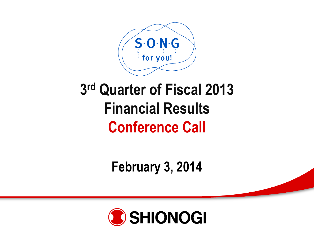

## **3 rd Quarter of Fiscal 2013 Financial Results Conference Call**

**February 3, 2014**

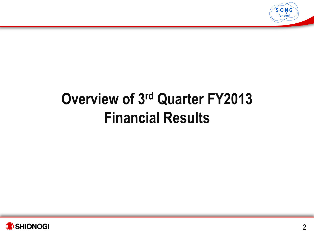

# **Overview of 3 rd Quarter FY2013 Financial Results**

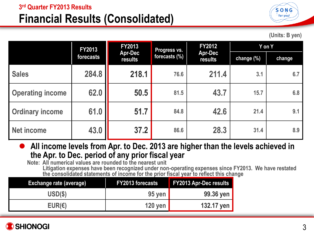## **Financial Results (Consolidated)**



**(Units: B yen)**

|                         | <b>FY2013</b> | FY2013                    | <b>Progress vs.</b> | <b>FY2012</b>             | Y on Y     |        |  |
|-------------------------|---------------|---------------------------|---------------------|---------------------------|------------|--------|--|
|                         | forecasts     | <b>Apr-Dec</b><br>results | forecasts (%)       | <b>Apr-Dec</b><br>results | change (%) | change |  |
| <b>Sales</b>            | 284.8         | 218.1                     | 76.6                | 211.4                     | 3.1        | 6.7    |  |
| <b>Operating income</b> | 62.0          | 50.5                      | 81.5                | 43.7                      | 15.7       | 6.8    |  |
| <b>Ordinary income</b>  | 61.0          | 51.7                      | 84.8                | 42.6                      | 21.4       | 9.1    |  |
| <b>Net income</b>       | 43.0          | 37.2                      | 86.6                | 28.3                      | 31.4       | 8.9    |  |

● All income levels from Apr. to Dec. 2013 are higher than the levels achieved in **the Apr. to Dec. period of any prior fiscal year**

**Note: All numerical values are rounded to the nearest unit Litigation expenses have been recognized under non-operating expenses since FY2013. We have restated the consolidated statements of income for the prior fiscal year to reflect this change**

| <b>Exchange rate (average)</b> | <b>FY2013 forecasts</b> | <b>FY2013 Apr-Dec results</b> |
|--------------------------------|-------------------------|-------------------------------|
| USD(\$)                        | $95$ yen                | 99.36 yen                     |
| EUR(E)                         | <b>120 yen</b>          | 132.17 yen                    |

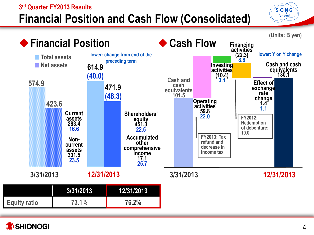### **3 rd Quarter FY2013 Results Financial Position and Cash Flow (Consolidated)**



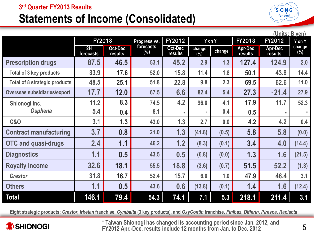#### **3 rd Quarter FY2013 Results**

## **Statements of Income (Consolidated)**



| (Units: B yen)                       |                 |                    |                  |                    |                  |        |                           |                           |                  |
|--------------------------------------|-----------------|--------------------|------------------|--------------------|------------------|--------|---------------------------|---------------------------|------------------|
|                                      | FY2013          |                    | Progress vs.     | FY2012             | Y on Y           |        | FY2013                    | FY2012                    | Y on Y           |
|                                      | 2H<br>forecasts | Oct-Dec<br>results | forecasts<br>(%) | Oct-Dec<br>results | change<br>$(\%)$ | change | <b>Apr-Dec</b><br>results | <b>Apr-Dec</b><br>results | change<br>$(\%)$ |
| <b>Prescription drugs</b>            | 87.5            | 46.5               | 53.1             | 45.2               | 2.9              | 1.3    | 127.4                     | 124.9                     | 2.0              |
| <b>Total of 3 key products</b>       | 33.9            | 17.6               | 52.0             | 15.8               | 11.4             | 1.8    | 50.1                      | 43.8                      | 14.4             |
| <b>Total of 8 strategic products</b> | 48.5            | 25.1               | 51.8             | 22.8               | 9.8              | 2.3    | 69.5                      | 62.6                      | 11.0             |
| <b>Overseas subsidiaries/export</b>  | 17.7            | 12.0               | 67.5             | 6.6                | 82.4             | 5.4    | 27.3                      | $*21.4$                   | 27.9             |
| Shionogi Inc.                        | 11.2            | 8.3                | 74.5             | 4.2                | 96.0             | 4.1    | 17.9                      | 11.7                      | 52.3             |
| Osphena                              | 5.4             | 0.4                | 8.1              | $\blacksquare$     |                  | 0.4    | 0.5                       | ×.                        |                  |
| <b>C&amp;O</b>                       | 3.1             | 1.3                | 43.0             | 1.3                | 2.7              | 0.0    | 4.2                       | 4.2                       | 0.4              |
| <b>Contract manufacturing</b>        | 3.7             | 0.8                | 21.0             | 1.3                | (41.8)           | (0.5)  | 5.8                       | 5.8                       | (0.0)            |
| <b>OTC and quasi-drugs</b>           | 2.4             | 1.1                | 46.2             | 1.2                | (8.3)            | (0.1)  | 3.4                       | 4.0                       | (14.4)           |
| <b>Diagnostics</b>                   | 1.1             | 0.5                | 43.5             | 0.5                | (6.8)            | (0.0)  | 1.3                       | 1.6                       | (21.5)           |
| <b>Royalty income</b>                | 32.6            | 18.1               | 55.5             | 18.8               | (3.6)            | (0.7)  | 51.5                      | 52.2                      | (1.3)            |
| <b>Crestor</b>                       | 31.8            | 16.7               | 52.4             | 15.7               | 6.0              | 1.0    | 47.9                      | 46.4                      | 3.1              |
| <b>Others</b>                        | 1.1             | 0.5                | 43.6             | 0.6                | (13.8)           | (0.1)  | 1.4                       | 1.6                       | (12.4)           |
| <b>Total</b>                         | 146.1           | 79.4               | 54.3             | 74.1               | 7.1              | 5.3    | 218.1                     | 211.4                     | 3.1              |

Eight strategic products: Crestor, Irbetan franchise, Cymbalta (3 key products), and OxyContin franchise, Finibax, Differin, Pirespa, Rapiacta



**\* Taiwan Shionogi has changed its accounting period since Jan. 2012, and FY2012 Apr.-Dec. results include 12 months from Jan. to Dec. 2012**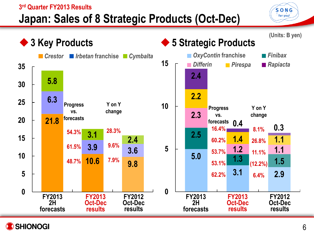### **3 rd Quarter FY2013 Results Japan: Sales of 8 Strategic Products (Oct-Dec)**



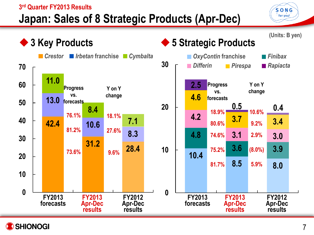### **3 rd Quarter FY2013 Results Japan: Sales of 8 Strategic Products (Apr-Dec)**



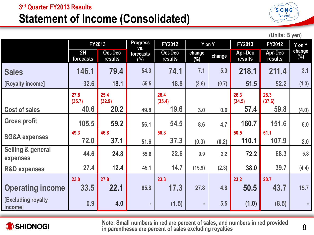## **Statement of Income (Consolidated)**



**(Units: B yen)**

|                                      | FY2013          |                    | <b>Progress</b><br>FY2012<br>VS. |                    | Y on Y           |        | FY2013                    | FY2012             | Y on Y        |
|--------------------------------------|-----------------|--------------------|----------------------------------|--------------------|------------------|--------|---------------------------|--------------------|---------------|
|                                      | 2H<br>forecasts | Oct-Dec<br>results | forecasts<br>$(\%)$              | Oct-Dec<br>results | change<br>$(\%)$ | change | <b>Apr-Dec</b><br>results | Apr-Dec<br>results | change<br>(%) |
| <b>Sales</b>                         | 146.1           | 79.4               | 54.3                             | 74.1               | 7.1              | 5.3    | 218.1                     | 211.4              | 3.1           |
| [Royalty income]                     | 32.6            | 18.1               | 55.5                             | 18.8               | (3.6)            | (0.7)  | 51.5                      | 52.2               | (1.3)         |
|                                      | 27.8<br>(35.7)  | 25.4<br>(32.9)     |                                  | 26.4<br>(35.4)     |                  |        | 26.3<br>(34.5)            | 28.3<br>(37.6)     |               |
| <b>Cost of sales</b>                 | 40.6            | 20.2               | 49.8                             | 19.6               | 3.0              | 0.6    | 57.4                      | 59.8               | (4.0)         |
| <b>Gross profit</b>                  | 105.5           | 59.2               | 56.1                             | 54.5               | 8.6              | 4.7    | 160.7                     | 151.6              | 6.0           |
| <b>SG&amp;A expenses</b>             | 49.3            | 46.8               |                                  | 50.3               |                  |        | 50.5                      | 51.1               |               |
|                                      | 72.0            | 37.1               | 51.6                             | 37.3               | (0.3)            | (0.2)  | 110.1                     | 107.9              | 2.0           |
| Selling & general<br>expenses        | 44.6            | 24.8               | 55.6                             | 22.6               | 9.9              | 2.2    | 72.2                      | 68.3               | 5.8           |
| <b>R&amp;D expenses</b>              | 27.4            | 12.4               | 45.1                             | 14.7               | (15.9)           | (2.3)  | 38.0                      | 39.7               | (4.4)         |
|                                      | 23.0            | 27.8               |                                  | 23.3               |                  |        | 23.2                      | 20.7               |               |
| <b>Operating income</b>              | 33.5            | 22.1               | 65.8                             | 17.3               | 27.8             | 4.8    | 50.5                      | 43.7               | 15.7          |
| <b>[Excluding royalty</b><br>income] | 0.9             | 4.0                | $\sim$                           | (1.5)              |                  | 5.5    | (1.0)                     | (8.5)              |               |



**Note: Small numbers in red are percent of sales, and numbers in red provided in parentheses are percent of sales excluding royalties**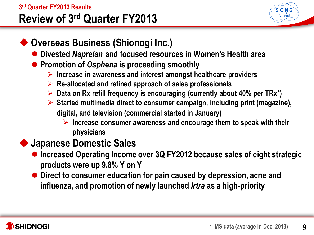#### **3 rd Quarter FY2013 Results Review of 3rd Quarter FY2013**



## **Overseas Business (Shionogi Inc.)**

- **Divested** *Naprelan* **and focused resources in Women's Health area**
- **Promotion of** *Osphena* **is proceeding smoothly** 
	- **Increase in awareness and interest amongst healthcare providers**
	- **Re-allocated and refined approach of sales professionals**
	- **Data on Rx refill frequency is encouraging (currently about 40% per TRx\*)**
	- **Started multimedia direct to consumer campaign, including print (magazine), digital, and television (commercial started in January)**
		- **Increase consumer awareness and encourage them to speak with their physicians**

## **Japanese Domestic Sales**

- **Increased Operating Income over 3Q FY2012 because sales of eight strategic products were up 9.8% Y on Y**
- **Direct to consumer education for pain caused by depression, acne and influenza, and promotion of newly launched** *Irtra* **as a high-priority**

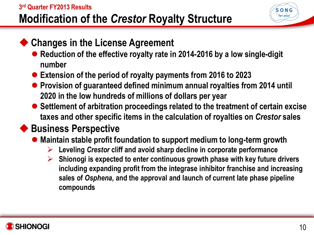### **3 rd Quarter FY2013 Results Modification of the** *Crestor* **Royalty Structure**

### ◆ Changes in the License Agreement

- **Reduction of the effective royalty rate in 2014-2016 by a low single-digit number**
- **Extension of the period of royalty payments from 2016 to 2023**
- **Provision of guaranteed defined minimum annual royalties from 2014 until 2020 in the low hundreds of millions of dollars per year**
- Settlement of arbitration proceedings related to the treatment of certain excise **taxes and other specific items in the calculation of royalties on** *Crestor* **sales**

## ◆ Business Perspective

- **Maintain stable profit foundation to support medium to long-term growth**
	- **Leveling** *Crestor* **cliff and avoid sharp decline in corporate performance**
	- **Shionogi is expected to enter continuous growth phase with key future drivers including expanding profit from the integrase inhibitor franchise and increasing sales of** *Osphena***, and the approval and launch of current late phase pipeline compounds**

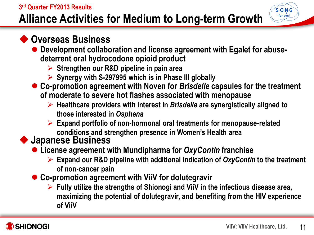#### **3 rd Quarter FY2013 Results Alliance Activities for Medium to Long-term Growth**

### **Overseas Business**

- **Development collaboration and license agreement with Egalet for abusedeterrent oral hydrocodone opioid product** 
	- **Strengthen our R&D pipeline in pain area**
	- **Synergy with S-297995 which is in Phase III globally**
- **Co-promotion agreement with Noven for** *Brisdelle* **capsules for the treatment of moderate to severe hot flashes associated with menopause**
	- **Healthcare providers with interest in** *Brisdelle* **are synergistically aligned to those interested in** *Osphena*
	- **Expand portfolio of non-hormonal oral treatments for menopause-related conditions and strengthen presence in Women's Health area**

### **Japanese Business**

- **License agreement with Mundipharma for** *OxyContin* **franchise** 
	- **Expand our R&D pipeline with additional indication of** *OxyContin* **to the treatment of non-cancer pain**
- **Co-promotion agreement with ViiV for dolutegravir**
	- **Fully utilize the strengths of Shionogi and ViiV in the infectious disease area, maximizing the potential of dolutegravir, and benefiting from the HIV experience of ViiV**



 $S$ -O-N-G  $\frac{1}{2}$  for you!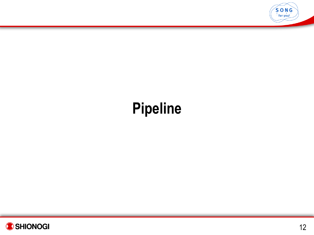

# **Pipeline**

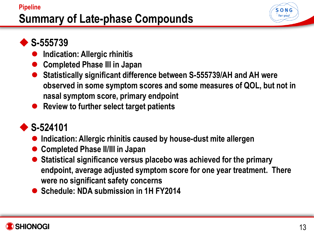### **Pipeline Summary of Late-phase Compounds**



## **S-555739**

- **Indication: Allergic rhinitis**
- **Completed Phase III in Japan**
- **Statistically significant difference between S-555739/AH and AH were observed in some symptom scores and some measures of QOL, but not in nasal symptom score, primary endpoint**
- **Review to further select target patients**

## **S-524101**

- **Indication: Allergic rhinitis caused by house-dust mite allergen**
- **Completed Phase II/III in Japan**
- **Statistical significance versus placebo was achieved for the primary endpoint, average adjusted symptom score for one year treatment. There were no significant safety concerns**
- **Schedule: NDA submission in 1H FY2014**

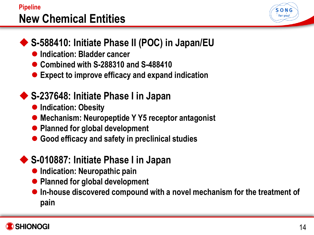### **Pipeline New Chemical Entities**



## ◆ S-588410: Initiate Phase II (POC) in Japan/EU

- **Indication: Bladder cancer**
- **Combined with S-288310 and S-488410**
- **Expect to improve efficacy and expand indication**

## **S-237648: Initiate Phase I in Japan**

- $\bullet$  **Indication: Obesity**
- **Mechanism: Neuropeptide Y Y5 receptor antagonist**
- **Planned for global development**
- **Good efficacy and safety in preclinical studies**

## ◆ S-010887: Initiate Phase I in Japan

- **Indication: Neuropathic pain**
- **Planned for global development**
- **In-house discovered compound with a novel mechanism for the treatment of pain**

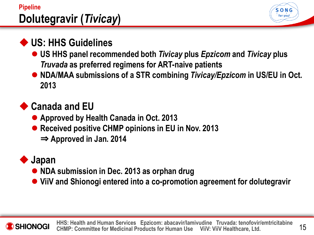### **Pipeline Dolutegravir (***Tivicay***)**



## **US: HHS Guidelines**

- **US HHS panel recommended both** *Tivicay* **plus** *Epzicom* **and** *Tivicay* **plus**  *Truvada* **as preferred regimens for ART-naive patients**
- NDA/MAA submissions of a STR combining *Tivicay/Epzicom* in US/EU in Oct. **2013**

## **◆ Canada and EU**

- **Approved by Health Canada in Oct. 2013**
- **Received positive CHMP opinions in EU in Nov. 2013** 
	- ⇒ **Approved in Jan. 2014**

## **Japan**

- **NDA submission in Dec. 2013 as orphan drug**
- **ViiV and Shionogi entered into a co-promotion agreement for dolutegravir**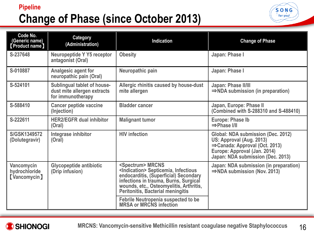### **Pipeline Change of Phase (since October 2013)**



| Code No.<br>(Generic name)<br><b>Product name</b>  | <b>Category</b><br>(Administration)                                             | <b>Indication</b>                                                                                                                                                                                                                                             | <b>Change of Phase</b>                                                                                                                                               |
|----------------------------------------------------|---------------------------------------------------------------------------------|---------------------------------------------------------------------------------------------------------------------------------------------------------------------------------------------------------------------------------------------------------------|----------------------------------------------------------------------------------------------------------------------------------------------------------------------|
| S-237648                                           | Neuropeptide Y Y5 receptor<br>antagonist (Oral)                                 | <b>Obesity</b>                                                                                                                                                                                                                                                | Japan: Phase I                                                                                                                                                       |
| S-010887                                           | Analgesic agent for<br>neuropathic pain (Oral)                                  | Neuropathic pain                                                                                                                                                                                                                                              | Japan: Phase I                                                                                                                                                       |
| S-524101                                           | Sublingual tablet of house-<br>dust mite allergen extracts<br>for immunotherapy | Allergic rhinitis caused by house-dust<br>mite allergen                                                                                                                                                                                                       | Japan: Phase II/III<br>$\Rightarrow$ NDA submission (in preparation)                                                                                                 |
| S-588410                                           | <b>Cancer peptide vaccine</b><br>(Injection)                                    | <b>Bladder cancer</b>                                                                                                                                                                                                                                         | Japan, Europe: Phase II<br>(Combined with S-288310 and S-488410)                                                                                                     |
| S-222611                                           | <b>HER2/EGFR dual inhibitor</b><br>(Oral)                                       | <b>Malignant tumor</b>                                                                                                                                                                                                                                        | Europe: Phase Ib<br>$\Rightarrow$ Phase I/II                                                                                                                         |
| S/GSK1349572<br>(Dolutegravir)                     | Integrase inhibitor<br>(Oral)                                                   | <b>HIV</b> infection                                                                                                                                                                                                                                          | Global: NDA submission (Dec. 2012)<br>US: Approval (Aug. 2013)<br>⇒Canada: Approval (Oct. 2013)<br>Europe: Approval (Jan. 2014)<br>Japan: NDA submission (Dec. 2013) |
| Vancomycin<br>hydrochloride<br><b>(Vancomycin)</b> | <b>Glycopeptide antibiotic</b><br>(Drip infusion)                               | <spectrum> MRCNS<br/><indication> Septicemia, Infectious<br/>endocarditis, (Superficial) Secondary<br/>infections in trauma, Burns, Surgical<br/>wounds, etc., Osteomyelitis, Arthritis,<br/><b>Peritonitis, Bacterial meningitis</b></indication></spectrum> | Japan: NDA submission (in preparation)<br>$\Rightarrow$ NDA submission (Nov. 2013)                                                                                   |
|                                                    |                                                                                 | Febrile Neutropenia suspected to be<br>MRSA or MRCNS infection                                                                                                                                                                                                |                                                                                                                                                                      |

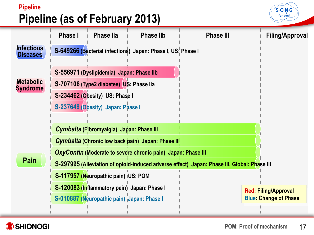### **Pipeline Pipeline (as of February 2013)**



![](_page_16_Picture_2.jpeg)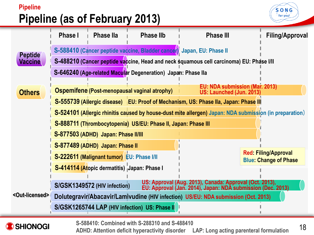### **Pipeline Pipeline (as of February 2013)**

**SHIONOGI** 

![](_page_17_Picture_1.jpeg)

![](_page_17_Figure_2.jpeg)

18 **S-588410: Combined with S-288310 and S-488410 ADHD: Attention deficit hyperactivity disorder LAP: Long acting parenteral formulation**